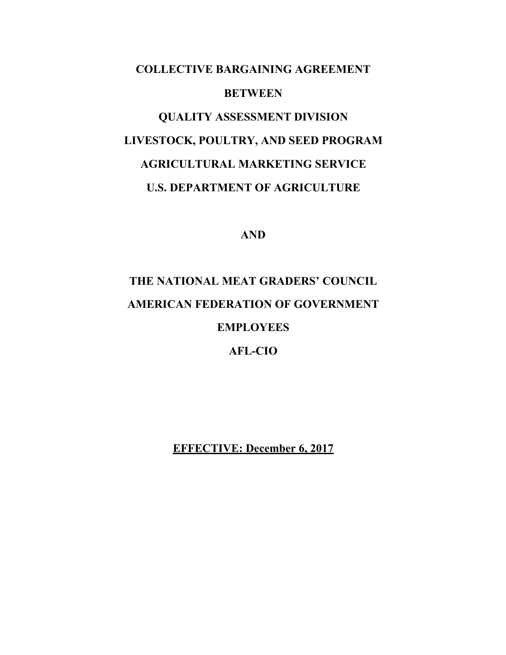# **COLLECTIVE BARGAINING AGREEMENT BETWEEN QUALITY ASSESSMENT DIVISION LIVESTOCK, POULTRY, AND SEED PROGRAM AGRICULTURAL MARKETING SERVICE U.S. DEPARTMENT OF AGRICULTURE**

**AND**

# **THE NATIONAL MEAT GRADERS' COUNCIL AMERICAN FEDERATION OF GOVERNMENT EMPLOYEES**

**AFL-CIO**

**EFFECTIVE: December 6, 2017**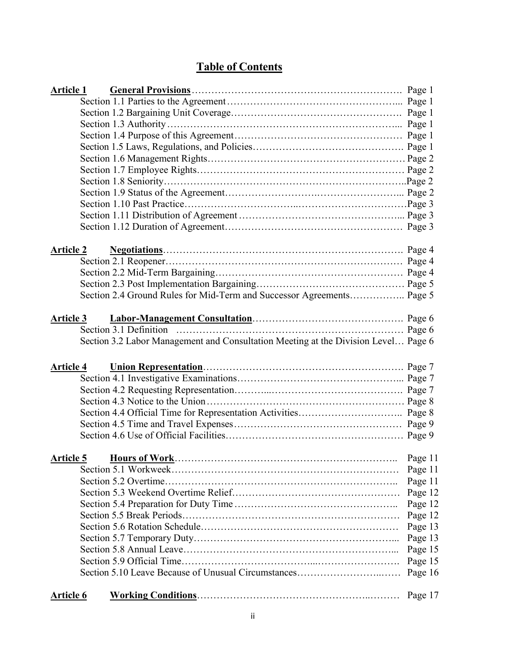# **Table of Contents**

| <b>Article 1</b> |                                                                                    |         |
|------------------|------------------------------------------------------------------------------------|---------|
|                  |                                                                                    |         |
|                  |                                                                                    |         |
|                  |                                                                                    |         |
|                  |                                                                                    |         |
|                  |                                                                                    |         |
|                  |                                                                                    |         |
|                  |                                                                                    |         |
|                  |                                                                                    |         |
|                  |                                                                                    |         |
|                  |                                                                                    |         |
|                  |                                                                                    |         |
|                  |                                                                                    |         |
| <b>Article 2</b> |                                                                                    |         |
|                  |                                                                                    |         |
|                  |                                                                                    |         |
|                  |                                                                                    |         |
|                  | Section 2.4 Ground Rules for Mid-Term and Successor Agreements Page 5              |         |
|                  |                                                                                    |         |
| <b>Article 3</b> |                                                                                    |         |
|                  | Section 3.1 Definition                                                             |         |
|                  | Section 3.2 Labor Management and Consultation Meeting at the Division Level Page 6 |         |
|                  |                                                                                    |         |
| <b>Article 4</b> |                                                                                    |         |
|                  |                                                                                    |         |
|                  |                                                                                    |         |
|                  |                                                                                    |         |
|                  |                                                                                    |         |
|                  |                                                                                    |         |
|                  |                                                                                    |         |
|                  |                                                                                    |         |
| <u>Article 5</u> |                                                                                    | Page 11 |
|                  |                                                                                    | Page 11 |
|                  |                                                                                    | Page 11 |
|                  |                                                                                    | Page 12 |
|                  |                                                                                    | Page 12 |
|                  |                                                                                    | Page 12 |
|                  |                                                                                    | Page 13 |
|                  |                                                                                    | Page 13 |
|                  |                                                                                    | Page 15 |
|                  |                                                                                    | Page 15 |
|                  |                                                                                    | Page 16 |
|                  |                                                                                    |         |
| <b>Article 6</b> |                                                                                    |         |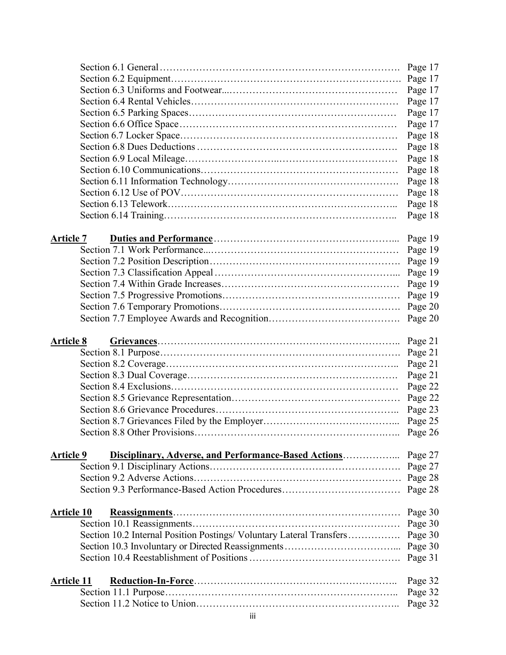|                   |                                                                      | Page 17 |
|-------------------|----------------------------------------------------------------------|---------|
|                   |                                                                      | Page 17 |
|                   |                                                                      | Page 17 |
|                   |                                                                      | Page 17 |
|                   |                                                                      | Page 17 |
|                   |                                                                      | Page 18 |
|                   |                                                                      | Page 18 |
|                   |                                                                      | Page 18 |
|                   |                                                                      | Page 18 |
|                   |                                                                      | Page 18 |
|                   |                                                                      | Page 18 |
|                   |                                                                      |         |
|                   |                                                                      | Page 18 |
|                   |                                                                      | Page 18 |
| <b>Article 7</b>  |                                                                      | Page 19 |
|                   |                                                                      | Page 19 |
|                   |                                                                      | Page 19 |
|                   |                                                                      | Page 19 |
|                   |                                                                      |         |
|                   |                                                                      | Page 19 |
|                   |                                                                      | Page 19 |
|                   |                                                                      | Page 20 |
|                   |                                                                      | Page 20 |
|                   |                                                                      |         |
| <b>Article 8</b>  |                                                                      | Page 21 |
|                   |                                                                      | Page 21 |
|                   |                                                                      | Page 21 |
|                   |                                                                      | Page 21 |
|                   |                                                                      | Page 22 |
|                   |                                                                      | Page 22 |
|                   |                                                                      | Page 23 |
|                   |                                                                      | Page 25 |
|                   | Section 8.8 Other Provisions                                         | Page 26 |
|                   |                                                                      |         |
| <u>Article 9</u>  | <b>Disciplinary, Adverse, and Performance-Based Actions</b> Page 27  |         |
|                   |                                                                      |         |
|                   |                                                                      |         |
|                   |                                                                      |         |
|                   |                                                                      |         |
| <b>Article 10</b> |                                                                      | Page 30 |
|                   |                                                                      | Page 30 |
|                   | Section 10.2 Internal Position Postings/ Voluntary Lateral Transfers | Page 30 |
|                   |                                                                      | Page 30 |
|                   |                                                                      |         |
|                   |                                                                      |         |
| <b>Article 11</b> |                                                                      | Page 32 |
|                   |                                                                      | Page 32 |
|                   |                                                                      | Page 32 |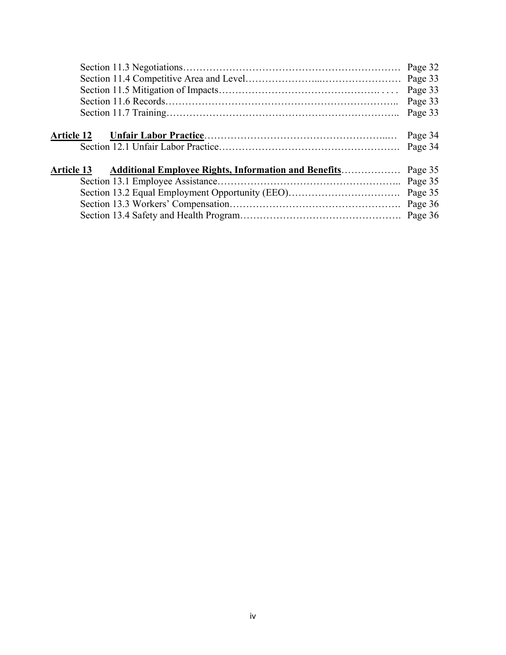|                                                                                          | Page 33 |  |
|------------------------------------------------------------------------------------------|---------|--|
|                                                                                          | Page 33 |  |
|                                                                                          | Page 33 |  |
|                                                                                          |         |  |
| <b>Article 12</b>                                                                        | Page 34 |  |
|                                                                                          |         |  |
|                                                                                          |         |  |
| <b>Article 13</b><br><b>Additional Employee Rights, Information and Benefits</b> Page 35 |         |  |
|                                                                                          |         |  |
|                                                                                          |         |  |
|                                                                                          |         |  |
|                                                                                          |         |  |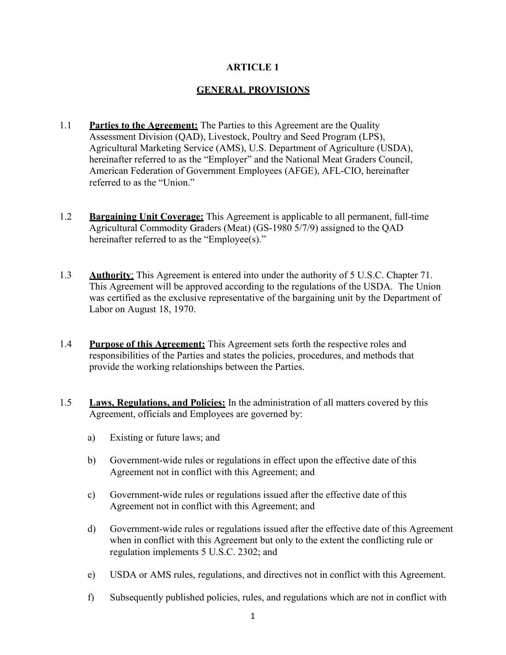# **GENERAL PROVISIONS**

- 1.1 **Parties to the Agreement:** The Parties to this Agreement are the Quality Assessment Division (QAD), Livestock, Poultry and Seed Program (LPS), Agricultural Marketing Service (AMS), U.S. Department of Agriculture (USDA), hereinafter referred to as the "Employer" and the National Meat Graders Council, American Federation of Government Employees (AFGE), AFL-CIO, hereinafter referred to as the "Union."
- 1.2 **Bargaining Unit Coverage:** This Agreement is applicable to all permanent, full-time Agricultural Commodity Graders (Meat) (GS-1980 5/7/9) assigned to the QAD hereinafter referred to as the "Employee(s)."
- 1.3 **Authority**: This Agreement is entered into under the authority of 5 U.S.C. Chapter 71. This Agreement will be approved according to the regulations of the USDA. The Union was certified as the exclusive representative of the bargaining unit by the Department of Labor on August 18, 1970.
- 1.4 **Purpose of this Agreement:** This Agreement sets forth the respective roles and responsibilities of the Parties and states the policies, procedures, and methods that provide the working relationships between the Parties.
- 1.5 **Laws, Regulations, and Policies:** In the administration of all matters covered by this Agreement, officials and Employees are governed by:
	- a) Existing or future laws; and
	- b) Government-wide rules or regulations in effect upon the effective date of this Agreement not in conflict with this Agreement; and
	- c) Government-wide rules or regulations issued after the effective date of this Agreement not in conflict with this Agreement; and
	- d) Government-wide rules or regulations issued after the effective date of this Agreement when in conflict with this Agreement but only to the extent the conflicting rule or regulation implements 5 U.S.C. 2302; and
	- e) USDA or AMS rules, regulations, and directives not in conflict with this Agreement.
	- f) Subsequently published policies, rules, and regulations which are not in conflict with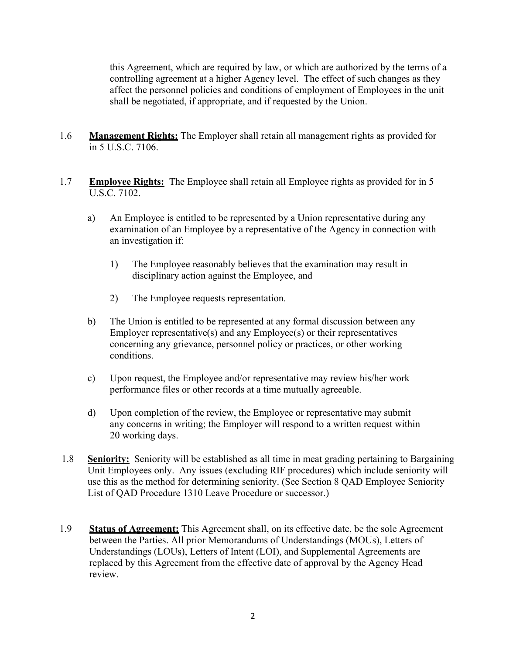this Agreement, which are required by law, or which are authorized by the terms of a controlling agreement at a higher Agency level. The effect of such changes as they affect the personnel policies and conditions of employment of Employees in the unit shall be negotiated, if appropriate, and if requested by the Union.

- 1.6 **Management Rights:** The Employer shall retain all management rights as provided for in 5 U.S.C. 7106.
- 1.7 **Employee Rights:** The Employee shall retain all Employee rights as provided for in 5 U.S.C. 7102.
	- a) An Employee is entitled to be represented by a Union representative during any examination of an Employee by a representative of the Agency in connection with an investigation if:
		- 1) The Employee reasonably believes that the examination may result in disciplinary action against the Employee, and
		- 2) The Employee requests representation.
	- b) The Union is entitled to be represented at any formal discussion between any Employer representative(s) and any Employee(s) or their representatives concerning any grievance, personnel policy or practices, or other working conditions.
	- c) Upon request, the Employee and/or representative may review his/her work performance files or other records at a time mutually agreeable.
	- d) Upon completion of the review, the Employee or representative may submit any concerns in writing; the Employer will respond to a written request within 20 working days.
- 1.8 **Seniority:** Seniority will be established as all time in meat grading pertaining to Bargaining Unit Employees only. Any issues (excluding RIF procedures) which include seniority will use this as the method for determining seniority. (See Section 8 QAD Employee Seniority List of QAD Procedure 1310 Leave Procedure or successor.)
- 1.9 **Status of Agreement:** This Agreement shall, on its effective date, be the sole Agreement between the Parties. All prior Memorandums of Understandings (MOUs), Letters of Understandings (LOUs), Letters of Intent (LOI), and Supplemental Agreements are replaced by this Agreement from the effective date of approval by the Agency Head review.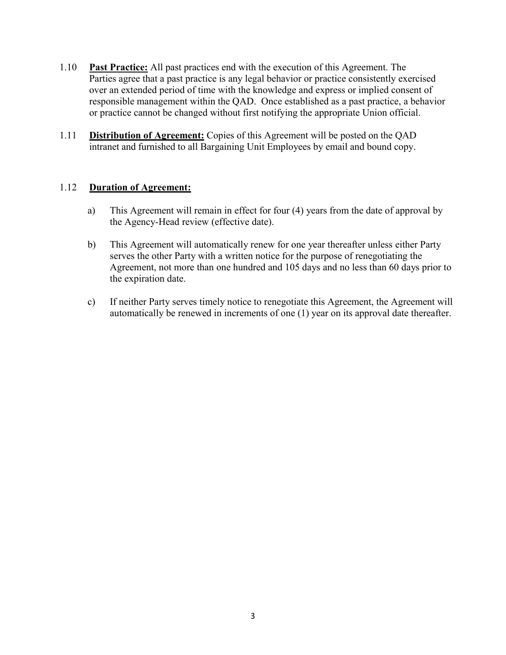- 1.10 **Past Practice:** All past practices end with the execution of this Agreement. The Parties agree that a past practice is any legal behavior or practice consistently exercised over an extended period of time with the knowledge and express or implied consent of responsible management within the QAD. Once established as a past practice, a behavior or practice cannot be changed without first notifying the appropriate Union official.
- 1.11 **Distribution of Agreement:** Copies of this Agreement will be posted on the QAD intranet and furnished to all Bargaining Unit Employees by email and bound copy.

#### 1.12 **Duration of Agreement:**

- a) This Agreement will remain in effect for four (4) years from the date of approval by the Agency-Head review (effective date).
- b) This Agreement will automatically renew for one year thereafter unless either Party serves the other Party with a written notice for the purpose of renegotiating the Agreement, not more than one hundred and 105 days and no less than 60 days prior to the expiration date.
- c) If neither Party serves timely notice to renegotiate this Agreement, the Agreement will automatically be renewed in increments of one (1) year on its approval date thereafter.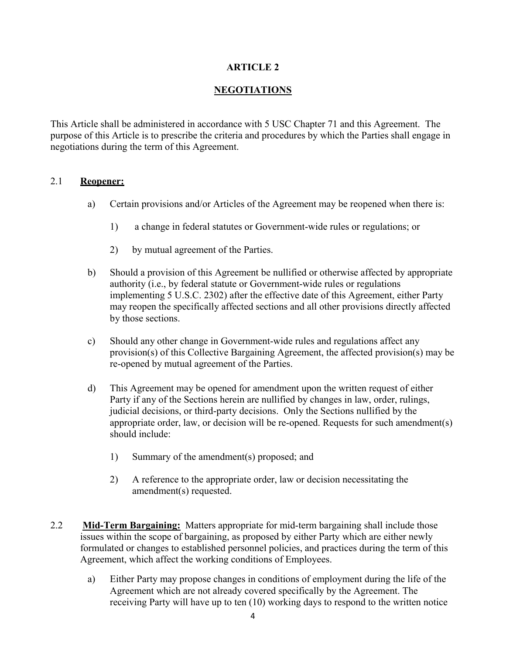# **NEGOTIATIONS**

This Article shall be administered in accordance with 5 USC Chapter 71 and this Agreement. The purpose of this Article is to prescribe the criteria and procedures by which the Parties shall engage in negotiations during the term of this Agreement.

#### 2.1 **Reopener:**

- a) Certain provisions and/or Articles of the Agreement may be reopened when there is:
	- 1) a change in federal statutes or Government-wide rules or regulations; or
	- 2) by mutual agreement of the Parties.
- b) Should a provision of this Agreement be nullified or otherwise affected by appropriate authority (i.e., by federal statute or Government-wide rules or regulations implementing 5 U.S.C. 2302) after the effective date of this Agreement, either Party may reopen the specifically affected sections and all other provisions directly affected by those sections.
- c) Should any other change in Government-wide rules and regulations affect any provision(s) of this Collective Bargaining Agreement, the affected provision(s) may be re-opened by mutual agreement of the Parties.
- d) This Agreement may be opened for amendment upon the written request of either Party if any of the Sections herein are nullified by changes in law, order, rulings, judicial decisions, or third-party decisions. Only the Sections nullified by the appropriate order, law, or decision will be re-opened. Requests for such amendment(s) should include:
	- 1) Summary of the amendment(s) proposed; and
	- 2) A reference to the appropriate order, law or decision necessitating the amendment(s) requested.
- 2.2 **Mid-Term Bargaining:** Matters appropriate for mid-term bargaining shall include those issues within the scope of bargaining, as proposed by either Party which are either newly formulated or changes to established personnel policies, and practices during the term of this Agreement, which affect the working conditions of Employees.
	- a) Either Party may propose changes in conditions of employment during the life of the Agreement which are not already covered specifically by the Agreement. The receiving Party will have up to ten (10) working days to respond to the written notice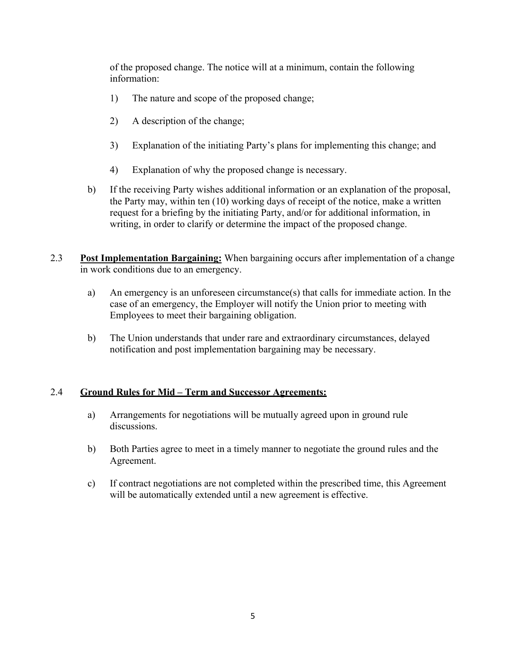of the proposed change. The notice will at a minimum, contain the following information:

- 1) The nature and scope of the proposed change;
- 2) A description of the change;
- 3) Explanation of the initiating Party's plans for implementing this change; and
- 4) Explanation of why the proposed change is necessary.
- b) If the receiving Party wishes additional information or an explanation of the proposal, the Party may, within ten (10) working days of receipt of the notice, make a written request for a briefing by the initiating Party, and/or for additional information, in writing, in order to clarify or determine the impact of the proposed change.
- 2.3 **Post Implementation Bargaining:** When bargaining occurs after implementation of a change in work conditions due to an emergency.
	- a) An emergency is an unforeseen circumstance(s) that calls for immediate action. In the case of an emergency, the Employer will notify the Union prior to meeting with Employees to meet their bargaining obligation.
	- b) The Union understands that under rare and extraordinary circumstances, delayed notification and post implementation bargaining may be necessary.

#### 2.4 **Ground Rules for Mid – Term and Successor Agreements:**

- a) Arrangements for negotiations will be mutually agreed upon in ground rule discussions.
- b) Both Parties agree to meet in a timely manner to negotiate the ground rules and the Agreement.
- c) If contract negotiations are not completed within the prescribed time, this Agreement will be automatically extended until a new agreement is effective.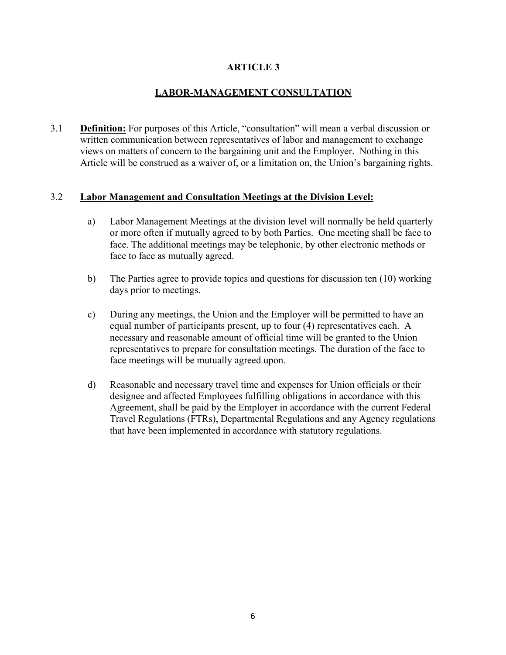# **LABOR-MANAGEMENT CONSULTATION**

3.1 **Definition:** For purposes of this Article, "consultation" will mean a verbal discussion or written communication between representatives of labor and management to exchange views on matters of concern to the bargaining unit and the Employer. Nothing in this Article will be construed as a waiver of, or a limitation on, the Union's bargaining rights.

#### 3.2 **Labor Management and Consultation Meetings at the Division Level:**

- a) Labor Management Meetings at the division level will normally be held quarterly or more often if mutually agreed to by both Parties. One meeting shall be face to face. The additional meetings may be telephonic, by other electronic methods or face to face as mutually agreed.
- b) The Parties agree to provide topics and questions for discussion ten (10) working days prior to meetings.
- c) During any meetings, the Union and the Employer will be permitted to have an equal number of participants present, up to four (4) representatives each. A necessary and reasonable amount of official time will be granted to the Union representatives to prepare for consultation meetings. The duration of the face to face meetings will be mutually agreed upon.
- d) Reasonable and necessary travel time and expenses for Union officials or their designee and affected Employees fulfilling obligations in accordance with this Agreement, shall be paid by the Employer in accordance with the current Federal Travel Regulations (FTRs), Departmental Regulations and any Agency regulations that have been implemented in accordance with statutory regulations.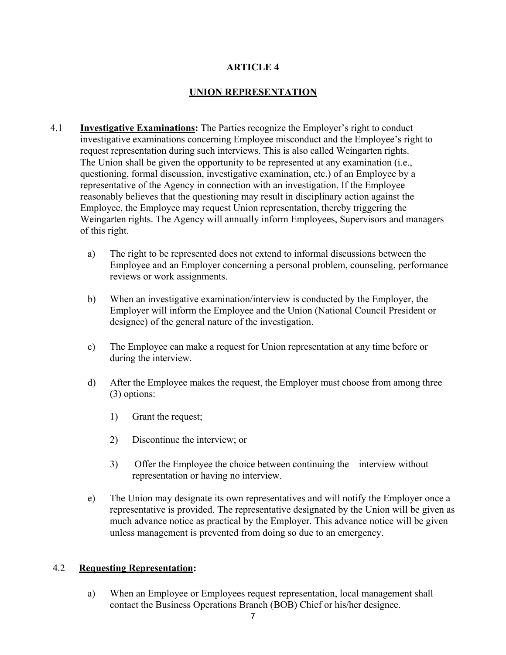# **UNION REPRESENTATION**

- 4.1 **Investigative Examinations:** The Parties recognize the Employer's right to conduct investigative examinations concerning Employee misconduct and the Employee's right to request representation during such interviews. This is also called Weingarten rights. The Union shall be given the opportunity to be represented at any examination (i.e., questioning, formal discussion, investigative examination, etc.) of an Employee by a representative of the Agency in connection with an investigation. If the Employee reasonably believes that the questioning may result in disciplinary action against the Employee, the Employee may request Union representation, thereby triggering the Weingarten rights. The Agency will annually inform Employees, Supervisors and managers of this right.
	- a) The right to be represented does not extend to informal discussions between the Employee and an Employer concerning a personal problem, counseling, performance reviews or work assignments.
	- b) When an investigative examination/interview is conducted by the Employer, the Employer will inform the Employee and the Union (National Council President or designee) of the general nature of the investigation.
	- c) The Employee can make a request for Union representation at any time before or during the interview.
	- d) After the Employee makes the request, the Employer must choose from among three (3) options:
		- 1) Grant the request;
		- 2) Discontinue the interview; or
		- 3) Offer the Employee the choice between continuing the interview without representation or having no interview.
	- e) The Union may designate its own representatives and will notify the Employer once a representative is provided. The representative designated by the Union will be given as much advance notice as practical by the Employer. This advance notice will be given unless management is prevented from doing so due to an emergency.

#### 4.2 **Requesting Representation:**

a) When an Employee or Employees request representation, local management shall contact the Business Operations Branch (BOB) Chief or his/her designee.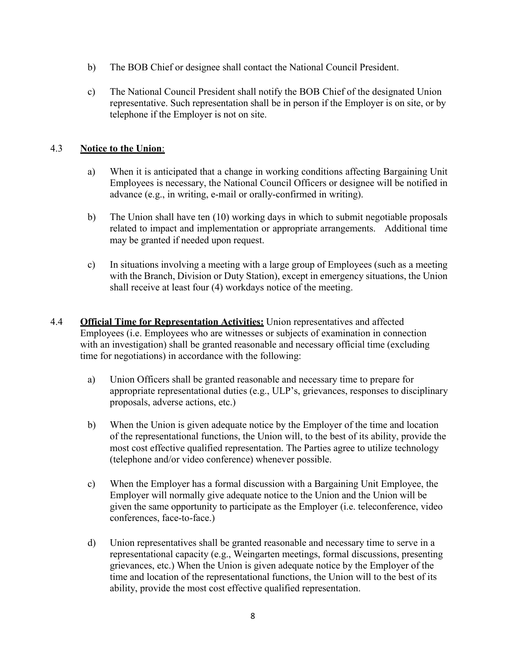- b) The BOB Chief or designee shall contact the National Council President.
- c) The National Council President shall notify the BOB Chief of the designated Union representative. Such representation shall be in person if the Employer is on site, or by telephone if the Employer is not on site.

#### 4.3 **Notice to the Union**:

- a) When it is anticipated that a change in working conditions affecting Bargaining Unit Employees is necessary, the National Council Officers or designee will be notified in advance (e.g., in writing, e-mail or orally-confirmed in writing).
- b) The Union shall have ten (10) working days in which to submit negotiable proposals related to impact and implementation or appropriate arrangements. Additional time may be granted if needed upon request.
- c) In situations involving a meeting with a large group of Employees (such as a meeting with the Branch, Division or Duty Station), except in emergency situations, the Union shall receive at least four (4) workdays notice of the meeting.
- 4.4 **Official Time for Representation Activities:** Union representatives and affected Employees (i.e. Employees who are witnesses or subjects of examination in connection with an investigation) shall be granted reasonable and necessary official time (excluding time for negotiations) in accordance with the following:
	- a) Union Officers shall be granted reasonable and necessary time to prepare for appropriate representational duties (e.g., ULP's, grievances, responses to disciplinary proposals, adverse actions, etc.)
	- b) When the Union is given adequate notice by the Employer of the time and location of the representational functions, the Union will, to the best of its ability, provide the most cost effective qualified representation. The Parties agree to utilize technology (telephone and/or video conference) whenever possible.
	- c) When the Employer has a formal discussion with a Bargaining Unit Employee, the Employer will normally give adequate notice to the Union and the Union will be given the same opportunity to participate as the Employer (i.e. teleconference, video conferences, face-to-face.)
	- d) Union representatives shall be granted reasonable and necessary time to serve in a representational capacity (e.g., Weingarten meetings, formal discussions, presenting grievances, etc.) When the Union is given adequate notice by the Employer of the time and location of the representational functions, the Union will to the best of its ability, provide the most cost effective qualified representation.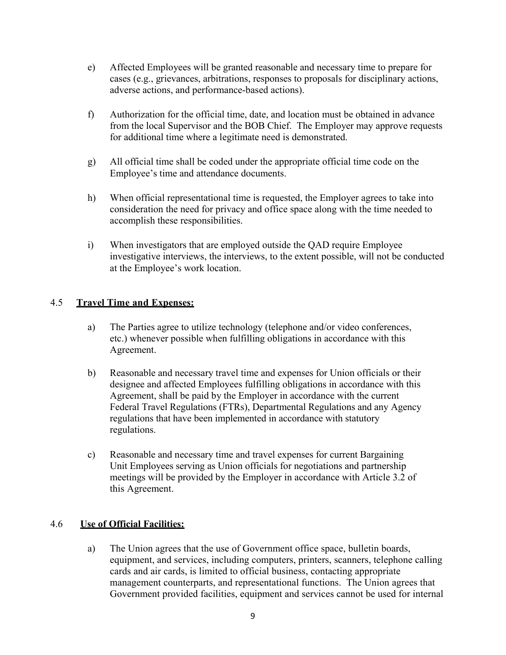- e) Affected Employees will be granted reasonable and necessary time to prepare for cases (e.g., grievances, arbitrations, responses to proposals for disciplinary actions, adverse actions, and performance-based actions).
- f) Authorization for the official time, date, and location must be obtained in advance from the local Supervisor and the BOB Chief. The Employer may approve requests for additional time where a legitimate need is demonstrated.
- g) All official time shall be coded under the appropriate official time code on the Employee's time and attendance documents.
- h) When official representational time is requested, the Employer agrees to take into consideration the need for privacy and office space along with the time needed to accomplish these responsibilities.
- i) When investigators that are employed outside the QAD require Employee investigative interviews, the interviews, to the extent possible, will not be conducted at the Employee's work location.

# 4.5 **Travel Time and Expenses:**

- a) The Parties agree to utilize technology (telephone and/or video conferences, etc.) whenever possible when fulfilling obligations in accordance with this Agreement.
- b) Reasonable and necessary travel time and expenses for Union officials or their designee and affected Employees fulfilling obligations in accordance with this Agreement, shall be paid by the Employer in accordance with the current Federal Travel Regulations (FTRs), Departmental Regulations and any Agency regulations that have been implemented in accordance with statutory regulations.
- c) Reasonable and necessary time and travel expenses for current Bargaining Unit Employees serving as Union officials for negotiations and partnership meetings will be provided by the Employer in accordance with Article 3.2 of this Agreement.

# 4.6 **Use of Official Facilities:**

a) The Union agrees that the use of Government office space, bulletin boards, equipment, and services, including computers, printers, scanners, telephone calling cards and air cards, is limited to official business, contacting appropriate management counterparts, and representational functions. The Union agrees that Government provided facilities, equipment and services cannot be used for internal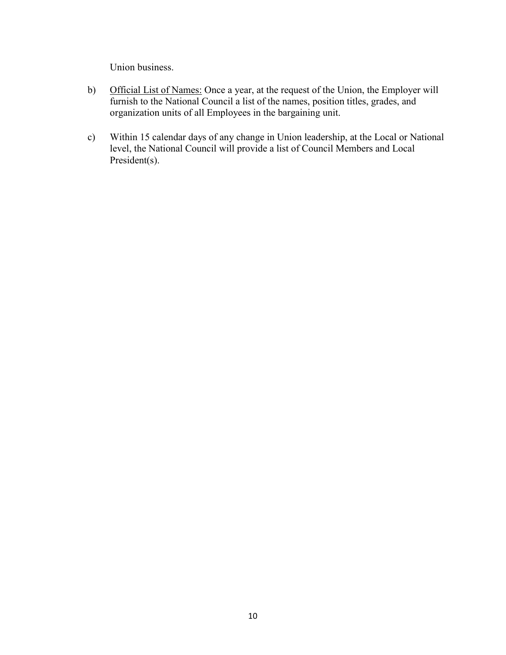Union business.

- b) Official List of Names: Once a year, at the request of the Union, the Employer will furnish to the National Council a list of the names, position titles, grades, and organization units of all Employees in the bargaining unit.
- c) Within 15 calendar days of any change in Union leadership, at the Local or National level, the National Council will provide a list of Council Members and Local President(s).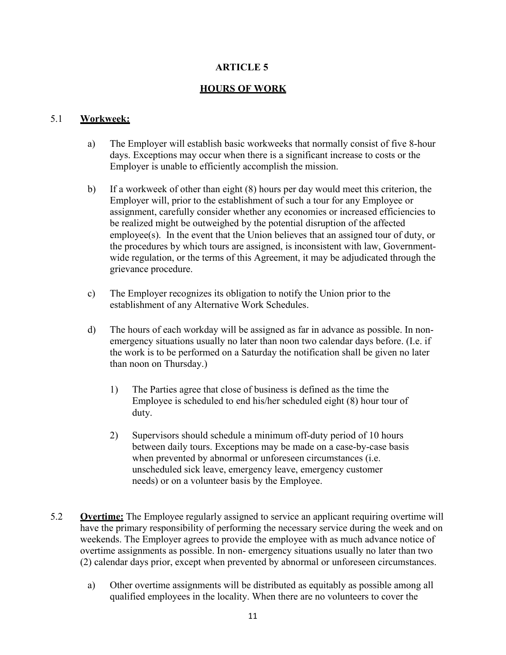#### **HOURS OF WORK**

#### 5.1 **Workweek:**

- a) The Employer will establish basic workweeks that normally consist of five 8-hour days. Exceptions may occur when there is a significant increase to costs or the Employer is unable to efficiently accomplish the mission.
- b) If a workweek of other than eight (8) hours per day would meet this criterion, the Employer will, prior to the establishment of such a tour for any Employee or assignment, carefully consider whether any economies or increased efficiencies to be realized might be outweighed by the potential disruption of the affected employee(s). In the event that the Union believes that an assigned tour of duty, or the procedures by which tours are assigned, is inconsistent with law, Governmentwide regulation, or the terms of this Agreement, it may be adjudicated through the grievance procedure.
- c) The Employer recognizes its obligation to notify the Union prior to the establishment of any Alternative Work Schedules.
- d) The hours of each workday will be assigned as far in advance as possible. In nonemergency situations usually no later than noon two calendar days before. (I.e. if the work is to be performed on a Saturday the notification shall be given no later than noon on Thursday.)
	- 1) The Parties agree that close of business is defined as the time the Employee is scheduled to end his/her scheduled eight (8) hour tour of duty.
	- 2) Supervisors should schedule a minimum off-duty period of 10 hours between daily tours. Exceptions may be made on a case-by-case basis when prevented by abnormal or unforeseen circumstances (i.e. unscheduled sick leave, emergency leave, emergency customer needs) or on a volunteer basis by the Employee.
- 5.2 **Overtime:** The Employee regularly assigned to service an applicant requiring overtime will have the primary responsibility of performing the necessary service during the week and on weekends. The Employer agrees to provide the employee with as much advance notice of overtime assignments as possible. In non- emergency situations usually no later than two (2) calendar days prior, except when prevented by abnormal or unforeseen circumstances.
	- a) Other overtime assignments will be distributed as equitably as possible among all qualified employees in the locality. When there are no volunteers to cover the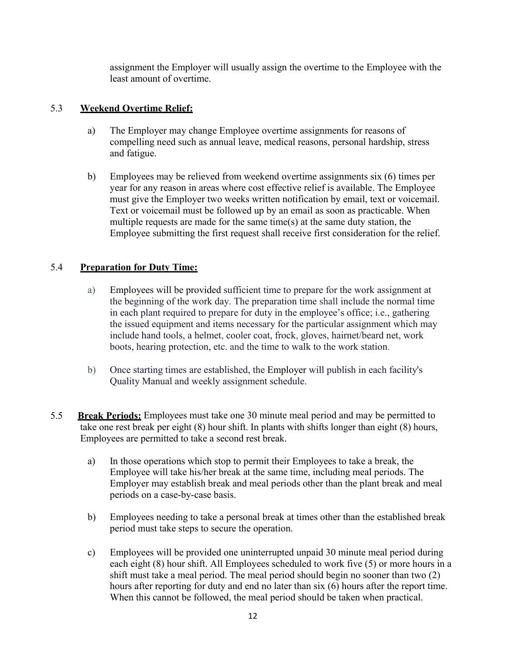assignment the Employer will usually assign the overtime to the Employee with the least amount of overtime.

# 5.3 **Weekend Overtime Relief:**

- a) The Employer may change Employee overtime assignments for reasons of compelling need such as annual leave, medical reasons, personal hardship, stress and fatigue.
- b) Employees may be relieved from weekend overtime assignments six (6) times per year for any reason in areas where cost effective relief is available. The Employee must give the Employer two weeks written notification by email, text or voicemail. Text or voicemail must be followed up by an email as soon as practicable. When multiple requests are made for the same time(s) at the same duty station, the Employee submitting the first request shall receive first consideration for the relief.

# 5.4 **Preparation for Duty Time:**

- a) Employees will be provided sufficient time to prepare for the work assignment at the beginning of the work day. The preparation time shall include the normal time in each plant required to prepare for duty in the employee's office; i.e., gathering the issued equipment and items necessary for the particular assignment which may include hand tools, a helmet, cooler coat, frock, gloves, hairnet/beard net, work boots, hearing protection, etc. and the time to walk to the work station.
- b) Once starting times are established, the Employer will publish in each facility's Quality Manual and weekly assignment schedule.
- 5.5 **Break Periods:** Employees must take one 30 minute meal period and may be permitted to take one rest break per eight (8) hour shift. In plants with shifts longer than eight (8) hours, Employees are permitted to take a second rest break.
	- a) In those operations which stop to permit their Employees to take a break, the Employee will take his/her break at the same time, including meal periods. The Employer may establish break and meal periods other than the plant break and meal periods on a case-by-case basis.
	- b) Employees needing to take a personal break at times other than the established break period must take steps to secure the operation.
	- c) Employees will be provided one uninterrupted unpaid 30 minute meal period during each eight (8) hour shift. All Employees scheduled to work five (5) or more hours in a shift must take a meal period. The meal period should begin no sooner than two (2) hours after reporting for duty and end no later than six (6) hours after the report time. When this cannot be followed, the meal period should be taken when practical.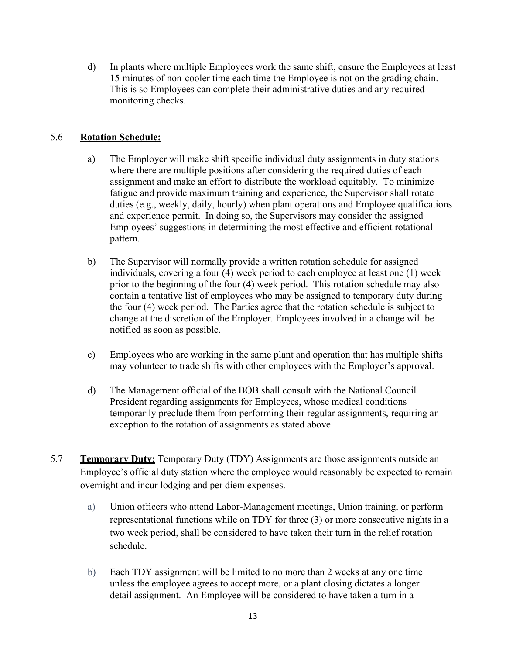d) In plants where multiple Employees work the same shift, ensure the Employees at least 15 minutes of non-cooler time each time the Employee is not on the grading chain. This is so Employees can complete their administrative duties and any required monitoring checks.

# 5.6 **Rotation Schedule:**

- a) The Employer will make shift specific individual duty assignments in duty stations where there are multiple positions after considering the required duties of each assignment and make an effort to distribute the workload equitably. To minimize fatigue and provide maximum training and experience, the Supervisor shall rotate duties (e.g., weekly, daily, hourly) when plant operations and Employee qualifications and experience permit. In doing so, the Supervisors may consider the assigned Employees' suggestions in determining the most effective and efficient rotational pattern.
- b) The Supervisor will normally provide a written rotation schedule for assigned individuals, covering a four (4) week period to each employee at least one (1) week prior to the beginning of the four (4) week period. This rotation schedule may also contain a tentative list of employees who may be assigned to temporary duty during the four (4) week period. The Parties agree that the rotation schedule is subject to change at the discretion of the Employer. Employees involved in a change will be notified as soon as possible.
- c) Employees who are working in the same plant and operation that has multiple shifts may volunteer to trade shifts with other employees with the Employer's approval.
- d) The Management official of the BOB shall consult with the National Council President regarding assignments for Employees, whose medical conditions temporarily preclude them from performing their regular assignments, requiring an exception to the rotation of assignments as stated above.
- 5.7 **Temporary Duty:** Temporary Duty (TDY) Assignments are those assignments outside an Employee's official duty station where the employee would reasonably be expected to remain overnight and incur lodging and per diem expenses.
	- a) Union officers who attend Labor-Management meetings, Union training, or perform representational functions while on TDY for three (3) or more consecutive nights in a two week period, shall be considered to have taken their turn in the relief rotation schedule.
	- b) Each TDY assignment will be limited to no more than 2 weeks at any one time unless the employee agrees to accept more, or a plant closing dictates a longer detail assignment. An Employee will be considered to have taken a turn in a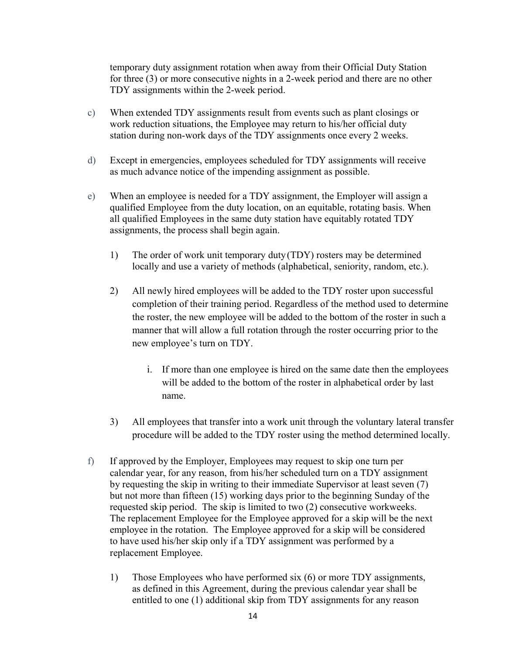temporary duty assignment rotation when away from their Official Duty Station for three (3) or more consecutive nights in a 2-week period and there are no other TDY assignments within the 2-week period.

- c) When extended TDY assignments result from events such as plant closings or work reduction situations, the Employee may return to his/her official duty station during non-work days of the TDY assignments once every 2 weeks.
- d) Except in emergencies, employees scheduled for TDY assignments will receive as much advance notice of the impending assignment as possible.
- e) When an employee is needed for a TDY assignment, the Employer will assign a qualified Employee from the duty location, on an equitable, rotating basis. When all qualified Employees in the same duty station have equitably rotated TDY assignments, the process shall begin again.
	- 1) The order of work unit temporary duty (TDY) rosters may be determined locally and use a variety of methods (alphabetical, seniority, random, etc.).
	- 2) All newly hired employees will be added to the TDY roster upon successful completion of their training period. Regardless of the method used to determine the roster, the new employee will be added to the bottom of the roster in such a manner that will allow a full rotation through the roster occurring prior to the new employee's turn on TDY.
		- i. If more than one employee is hired on the same date then the employees will be added to the bottom of the roster in alphabetical order by last name.
	- 3) All employees that transfer into a work unit through the voluntary lateral transfer procedure will be added to the TDY roster using the method determined locally.
- f) If approved by the Employer, Employees may request to skip one turn per calendar year, for any reason, from his/her scheduled turn on a TDY assignment by requesting the skip in writing to their immediate Supervisor at least seven (7) but not more than fifteen (15) working days prior to the beginning Sunday of the requested skip period. The skip is limited to two (2) consecutive workweeks. The replacement Employee for the Employee approved for a skip will be the next employee in the rotation. The Employee approved for a skip will be considered to have used his/her skip only if a TDY assignment was performed by a replacement Employee.
	- 1) Those Employees who have performed six (6) or more TDY assignments, as defined in this Agreement, during the previous calendar year shall be entitled to one (1) additional skip from TDY assignments for any reason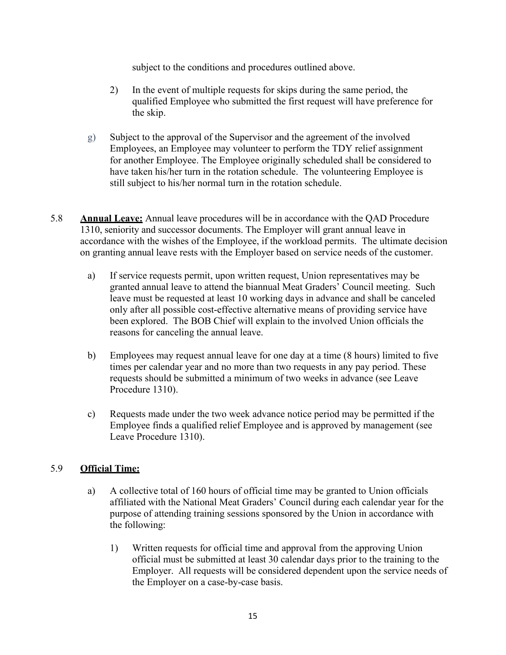subject to the conditions and procedures outlined above.

- 2) In the event of multiple requests for skips during the same period, the qualified Employee who submitted the first request will have preference for the skip.
- g) Subject to the approval of the Supervisor and the agreement of the involved Employees, an Employee may volunteer to perform the TDY relief assignment for another Employee. The Employee originally scheduled shall be considered to have taken his/her turn in the rotation schedule. The volunteering Employee is still subject to his/her normal turn in the rotation schedule.
- 5.8 **Annual Leave:** Annual leave procedures will be in accordance with the QAD Procedure 1310, seniority and successor documents. The Employer will grant annual leave in accordance with the wishes of the Employee, if the workload permits. The ultimate decision on granting annual leave rests with the Employer based on service needs of the customer.
	- a) If service requests permit, upon written request, Union representatives may be granted annual leave to attend the biannual Meat Graders' Council meeting. Such leave must be requested at least 10 working days in advance and shall be canceled only after all possible cost-effective alternative means of providing service have been explored. The BOB Chief will explain to the involved Union officials the reasons for canceling the annual leave.
	- b) Employees may request annual leave for one day at a time (8 hours) limited to five times per calendar year and no more than two requests in any pay period. These requests should be submitted a minimum of two weeks in advance (see Leave Procedure 1310).
	- c) Requests made under the two week advance notice period may be permitted if the Employee finds a qualified relief Employee and is approved by management (see Leave Procedure 1310).

# 5.9 **Official Time:**

- a) A collective total of 160 hours of official time may be granted to Union officials affiliated with the National Meat Graders' Council during each calendar year for the purpose of attending training sessions sponsored by the Union in accordance with the following:
	- 1) Written requests for official time and approval from the approving Union official must be submitted at least 30 calendar days prior to the training to the Employer. All requests will be considered dependent upon the service needs of the Employer on a case-by-case basis.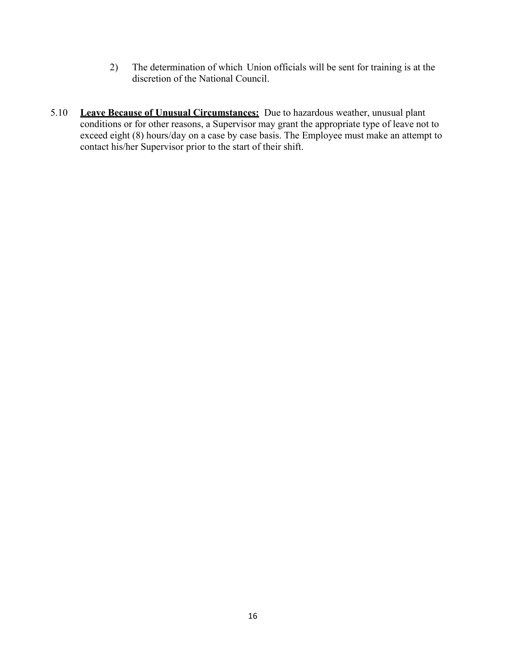- 2) The determination of which Union officials will be sent for training is at the discretion of the National Council.
- 5.10 **Leave Because of Unusual Circumstances:** Due to hazardous weather, unusual plant conditions or for other reasons, a Supervisor may grant the appropriate type of leave not to exceed eight (8) hours/day on a case by case basis. The Employee must make an attempt to contact his/her Supervisor prior to the start of their shift.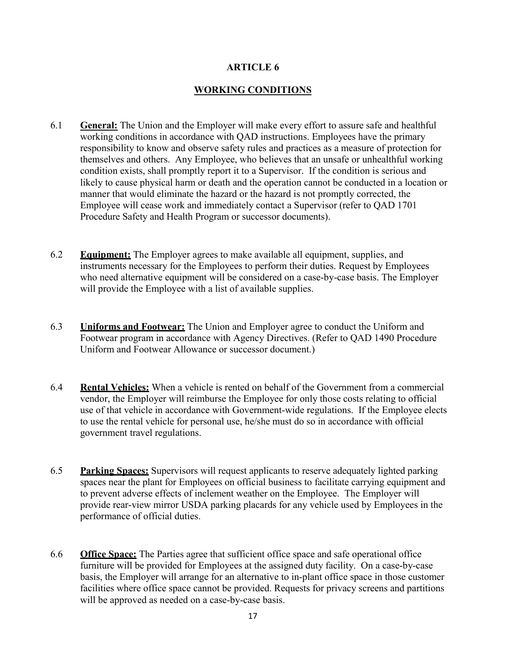#### **WORKING CONDITIONS**

- 6.1 **General:** The Union and the Employer will make every effort to assure safe and healthful working conditions in accordance with QAD instructions. Employees have the primary responsibility to know and observe safety rules and practices as a measure of protection for themselves and others. Any Employee, who believes that an unsafe or unhealthful working condition exists, shall promptly report it to a Supervisor. If the condition is serious and likely to cause physical harm or death and the operation cannot be conducted in a location or manner that would eliminate the hazard or the hazard is not promptly corrected, the Employee will cease work and immediately contact a Supervisor (refer to QAD 1701 Procedure Safety and Health Program or successor documents).
- 6.2 **Equipment:** The Employer agrees to make available all equipment, supplies, and instruments necessary for the Employees to perform their duties. Request by Employees who need alternative equipment will be considered on a case-by-case basis. The Employer will provide the Employee with a list of available supplies.
- 6.3 **Uniforms and Footwear:** The Union and Employer agree to conduct the Uniform and Footwear program in accordance with Agency Directives. (Refer to QAD 1490 Procedure Uniform and Footwear Allowance or successor document.)
- 6.4 **Rental Vehicles:** When a vehicle is rented on behalf of the Government from a commercial vendor, the Employer will reimburse the Employee for only those costs relating to official use of that vehicle in accordance with Government-wide regulations. If the Employee elects to use the rental vehicle for personal use, he/she must do so in accordance with official government travel regulations.
- 6.5 **Parking Spaces:** Supervisors will request applicants to reserve adequately lighted parking spaces near the plant for Employees on official business to facilitate carrying equipment and to prevent adverse effects of inclement weather on the Employee. The Employer will provide rear-view mirror USDA parking placards for any vehicle used by Employees in the performance of official duties.
- 6.6 **Office Space:** The Parties agree that sufficient office space and safe operational office furniture will be provided for Employees at the assigned duty facility. On a case-by-case basis, the Employer will arrange for an alternative to in-plant office space in those customer facilities where office space cannot be provided. Requests for privacy screens and partitions will be approved as needed on a case-by-case basis.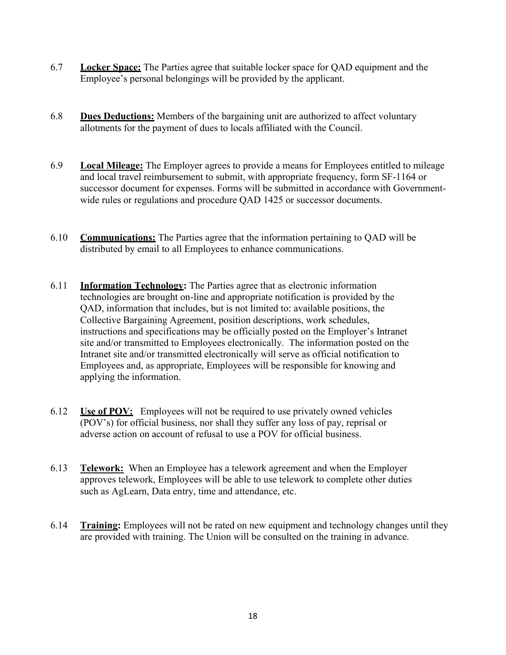- 6.7 **Locker Space:** The Parties agree that suitable locker space for QAD equipment and the Employee's personal belongings will be provided by the applicant.
- 6.8 **Dues Deductions:** Members of the bargaining unit are authorized to affect voluntary allotments for the payment of dues to locals affiliated with the Council.
- 6.9 **Local Mileage:** The Employer agrees to provide a means for Employees entitled to mileage and local travel reimbursement to submit, with appropriate frequency, form SF-1164 or successor document for expenses. Forms will be submitted in accordance with Governmentwide rules or regulations and procedure QAD 1425 or successor documents.
- 6.10 **Communications:** The Parties agree that the information pertaining to QAD will be distributed by email to all Employees to enhance communications.
- 6.11 **Information Technology:** The Parties agree that as electronic information technologies are brought on-line and appropriate notification is provided by the QAD, information that includes, but is not limited to: available positions, the Collective Bargaining Agreement, position descriptions, work schedules, instructions and specifications may be officially posted on the Employer's Intranet site and/or transmitted to Employees electronically. The information posted on the Intranet site and/or transmitted electronically will serve as official notification to Employees and, as appropriate, Employees will be responsible for knowing and applying the information.
- 6.12 **Use of POV:** Employees will not be required to use privately owned vehicles (POV's) for official business, nor shall they suffer any loss of pay, reprisal or adverse action on account of refusal to use a POV for official business.
- 6.13 **Telework:** When an Employee has a telework agreement and when the Employer approves telework, Employees will be able to use telework to complete other duties such as AgLearn, Data entry, time and attendance, etc.
- 6.14 **Training:** Employees will not be rated on new equipment and technology changes until they are provided with training. The Union will be consulted on the training in advance.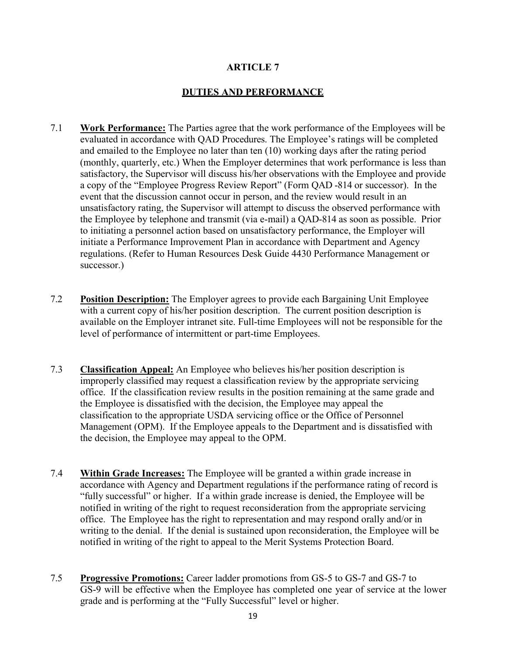# **DUTIES AND PERFORMANCE**

- 7.1 **Work Performance:** The Parties agree that the work performance of the Employees will be evaluated in accordance with QAD Procedures. The Employee's ratings will be completed and emailed to the Employee no later than ten (10) working days after the rating period (monthly, quarterly, etc.) When the Employer determines that work performance is less than satisfactory, the Supervisor will discuss his/her observations with the Employee and provide a copy of the "Employee Progress Review Report" (Form QAD -814 or successor). In the event that the discussion cannot occur in person, and the review would result in an unsatisfactory rating, the Supervisor will attempt to discuss the observed performance with the Employee by telephone and transmit (via e-mail) a QAD-814 as soon as possible. Prior to initiating a personnel action based on unsatisfactory performance, the Employer will initiate a Performance Improvement Plan in accordance with Department and Agency regulations. (Refer to Human Resources Desk Guide 4430 Performance Management or successor.)
- 7.2 **Position Description:** The Employer agrees to provide each Bargaining Unit Employee with a current copy of his/her position description. The current position description is available on the Employer intranet site. Full-time Employees will not be responsible for the level of performance of intermittent or part-time Employees.
- 7.3 **Classification Appeal:** An Employee who believes his/her position description is improperly classified may request a classification review by the appropriate servicing office. If the classification review results in the position remaining at the same grade and the Employee is dissatisfied with the decision, the Employee may appeal the classification to the appropriate USDA servicing office or the Office of Personnel Management (OPM). If the Employee appeals to the Department and is dissatisfied with the decision, the Employee may appeal to the OPM.
- 7.4 **Within Grade Increases:** The Employee will be granted a within grade increase in accordance with Agency and Department regulations if the performance rating of record is "fully successful" or higher. If a within grade increase is denied, the Employee will be notified in writing of the right to request reconsideration from the appropriate servicing office. The Employee has the right to representation and may respond orally and/or in writing to the denial. If the denial is sustained upon reconsideration, the Employee will be notified in writing of the right to appeal to the Merit Systems Protection Board.
- 7.5 **Progressive Promotions:** Career ladder promotions from GS-5 to GS-7 and GS-7 to GS-9 will be effective when the Employee has completed one year of service at the lower grade and is performing at the "Fully Successful" level or higher.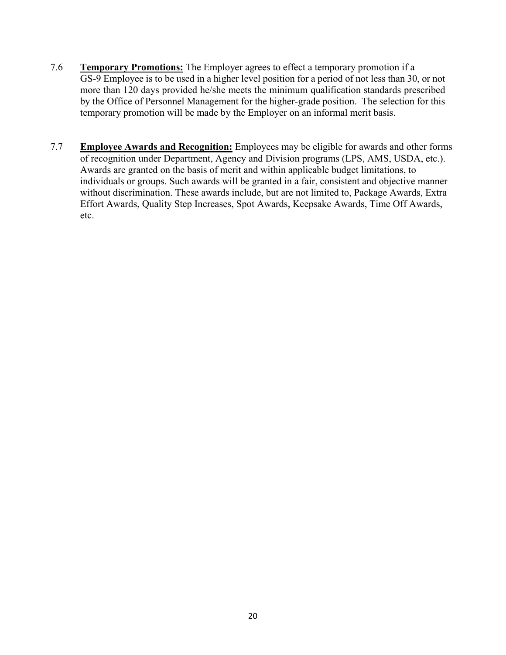- 7.6 **Temporary Promotions:** The Employer agrees to effect a temporary promotion if a GS-9 Employee is to be used in a higher level position for a period of not less than 30, or not more than 120 days provided he/she meets the minimum qualification standards prescribed by the Office of Personnel Management for the higher-grade position. The selection for this temporary promotion will be made by the Employer on an informal merit basis.
- 7.7 **Employee Awards and Recognition:** Employees may be eligible for awards and other forms of recognition under Department, Agency and Division programs (LPS, AMS, USDA, etc.). Awards are granted on the basis of merit and within applicable budget limitations, to individuals or groups. Such awards will be granted in a fair, consistent and objective manner without discrimination. These awards include, but are not limited to, Package Awards, Extra Effort Awards, Quality Step Increases, Spot Awards, Keepsake Awards, Time Off Awards, etc.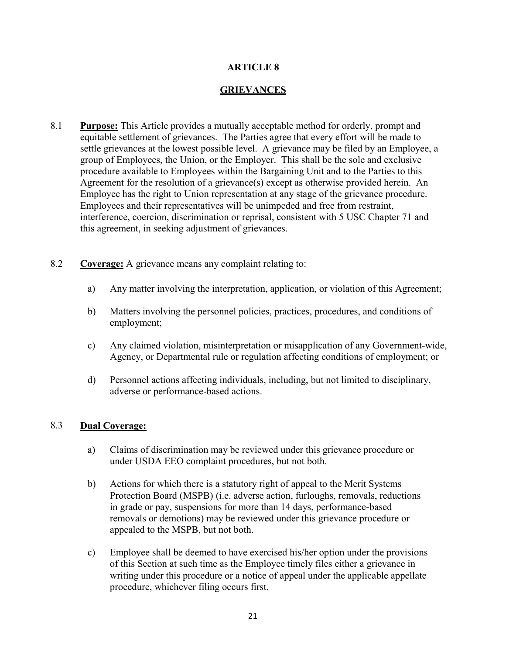# **GRIEVANCES**

8.1 **Purpose:** This Article provides a mutually acceptable method for orderly, prompt and equitable settlement of grievances. The Parties agree that every effort will be made to settle grievances at the lowest possible level. A grievance may be filed by an Employee, a group of Employees, the Union, or the Employer. This shall be the sole and exclusive procedure available to Employees within the Bargaining Unit and to the Parties to this Agreement for the resolution of a grievance(s) except as otherwise provided herein. An Employee has the right to Union representation at any stage of the grievance procedure. Employees and their representatives will be unimpeded and free from restraint, interference, coercion, discrimination or reprisal, consistent with 5 USC Chapter 71 and this agreement, in seeking adjustment of grievances.

#### 8.2 **Coverage:** A grievance means any complaint relating to:

- a) Any matter involving the interpretation, application, or violation of this Agreement;
- b) Matters involving the personnel policies, practices, procedures, and conditions of employment;
- c) Any claimed violation, misinterpretation or misapplication of any Government-wide, Agency, or Departmental rule or regulation affecting conditions of employment; or
- d) Personnel actions affecting individuals, including, but not limited to disciplinary, adverse or performance-based actions.

# 8.3 **Dual Coverage:**

- a) Claims of discrimination may be reviewed under this grievance procedure or under USDA EEO complaint procedures, but not both.
- b) Actions for which there is a statutory right of appeal to the Merit Systems Protection Board (MSPB) (i.e. adverse action, furloughs, removals, reductions in grade or pay, suspensions for more than 14 days, performance-based removals or demotions) may be reviewed under this grievance procedure or appealed to the MSPB, but not both.
- c) Employee shall be deemed to have exercised his/her option under the provisions of this Section at such time as the Employee timely files either a grievance in writing under this procedure or a notice of appeal under the applicable appellate procedure, whichever filing occurs first.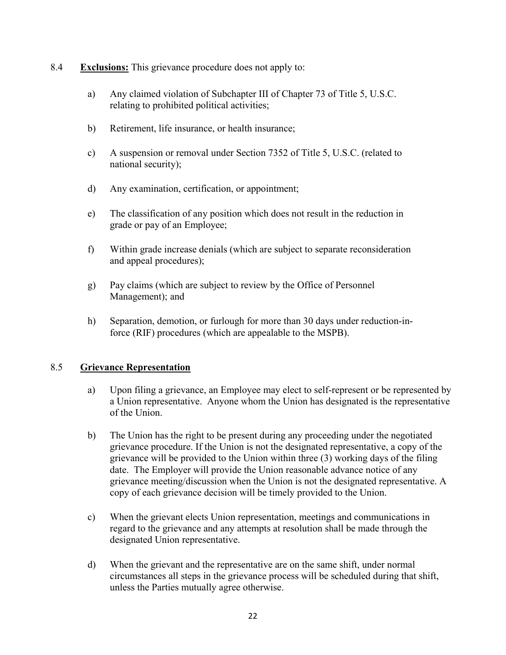- 8.4 **Exclusions:** This grievance procedure does not apply to:
	- a) Any claimed violation of Subchapter III of Chapter 73 of Title 5, U.S.C. relating to prohibited political activities;
	- b) Retirement, life insurance, or health insurance;
	- c) A suspension or removal under Section 7352 of Title 5, U.S.C. (related to national security);
	- d) Any examination, certification, or appointment;
	- e) The classification of any position which does not result in the reduction in grade or pay of an Employee;
	- f) Within grade increase denials (which are subject to separate reconsideration and appeal procedures);
	- g) Pay claims (which are subject to review by the Office of Personnel Management); and
	- h) Separation, demotion, or furlough for more than 30 days under reduction-inforce (RIF) procedures (which are appealable to the MSPB).

#### 8.5 **Grievance Representation**

- a) Upon filing a grievance, an Employee may elect to self-represent or be represented by a Union representative. Anyone whom the Union has designated is the representative of the Union.
- b) The Union has the right to be present during any proceeding under the negotiated grievance procedure. If the Union is not the designated representative, a copy of the grievance will be provided to the Union within three (3) working days of the filing date. The Employer will provide the Union reasonable advance notice of any grievance meeting/discussion when the Union is not the designated representative. A copy of each grievance decision will be timely provided to the Union.
- c) When the grievant elects Union representation, meetings and communications in regard to the grievance and any attempts at resolution shall be made through the designated Union representative.
- d) When the grievant and the representative are on the same shift, under normal circumstances all steps in the grievance process will be scheduled during that shift, unless the Parties mutually agree otherwise.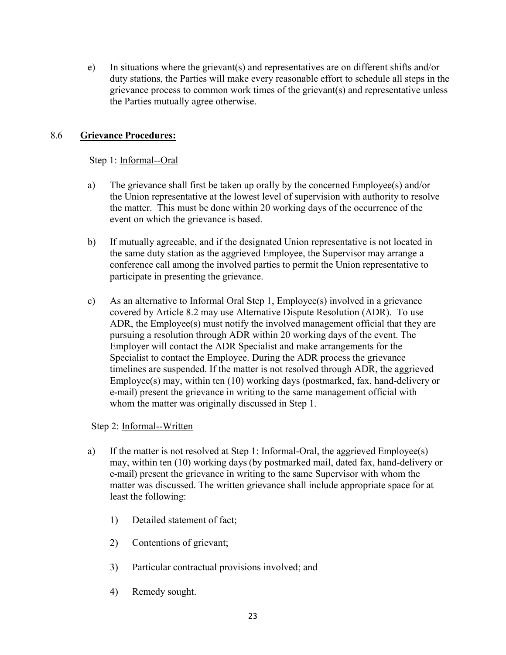e) In situations where the grievant(s) and representatives are on different shifts and/or duty stations, the Parties will make every reasonable effort to schedule all steps in the grievance process to common work times of the grievant(s) and representative unless the Parties mutually agree otherwise.

#### 8.6 **Grievance Procedures:**

#### Step 1: Informal--Oral

- a) The grievance shall first be taken up orally by the concerned Employee(s) and/or the Union representative at the lowest level of supervision with authority to resolve the matter. This must be done within 20 working days of the occurrence of the event on which the grievance is based.
- b) If mutually agreeable, and if the designated Union representative is not located in the same duty station as the aggrieved Employee, the Supervisor may arrange a conference call among the involved parties to permit the Union representative to participate in presenting the grievance.
- c) As an alternative to Informal Oral Step 1, Employee(s) involved in a grievance covered by Article 8.2 may use Alternative Dispute Resolution (ADR). To use ADR, the Employee(s) must notify the involved management official that they are pursuing a resolution through ADR within 20 working days of the event. The Employer will contact the ADR Specialist and make arrangements for the Specialist to contact the Employee. During the ADR process the grievance timelines are suspended. If the matter is not resolved through ADR, the aggrieved Employee(s) may, within ten (10) working days (postmarked, fax, hand-delivery or e-mail) present the grievance in writing to the same management official with whom the matter was originally discussed in Step 1.

#### Step 2: Informal--Written

- a) If the matter is not resolved at Step 1: Informal-Oral, the aggrieved Employee(s) may, within ten (10) working days (by postmarked mail, dated fax, hand-delivery or e-mail) present the grievance in writing to the same Supervisor with whom the matter was discussed. The written grievance shall include appropriate space for at least the following:
	- 1) Detailed statement of fact;
	- 2) Contentions of grievant;
	- 3) Particular contractual provisions involved; and
	- 4) Remedy sought.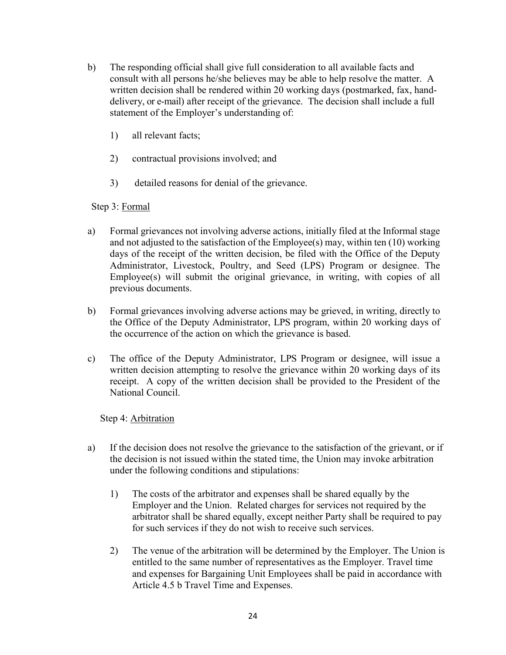- b) The responding official shall give full consideration to all available facts and consult with all persons he/she believes may be able to help resolve the matter. A written decision shall be rendered within 20 working days (postmarked, fax, handdelivery, or e-mail) after receipt of the grievance. The decision shall include a full statement of the Employer's understanding of:
	- 1) all relevant facts;
	- 2) contractual provisions involved; and
	- 3) detailed reasons for denial of the grievance.

#### Step 3: Formal

- a) Formal grievances not involving adverse actions, initially filed at the Informal stage and not adjusted to the satisfaction of the Employee(s) may, within ten (10) working days of the receipt of the written decision, be filed with the Office of the Deputy Administrator, Livestock, Poultry, and Seed (LPS) Program or designee. The Employee(s) will submit the original grievance, in writing, with copies of all previous documents.
- b) Formal grievances involving adverse actions may be grieved, in writing, directly to the Office of the Deputy Administrator, LPS program, within 20 working days of the occurrence of the action on which the grievance is based.
- c) The office of the Deputy Administrator, LPS Program or designee, will issue a written decision attempting to resolve the grievance within 20 working days of its receipt. A copy of the written decision shall be provided to the President of the National Council.

#### Step 4: Arbitration

- a) If the decision does not resolve the grievance to the satisfaction of the grievant, or if the decision is not issued within the stated time, the Union may invoke arbitration under the following conditions and stipulations:
	- 1) The costs of the arbitrator and expenses shall be shared equally by the Employer and the Union. Related charges for services not required by the arbitrator shall be shared equally, except neither Party shall be required to pay for such services if they do not wish to receive such services.
	- 2) The venue of the arbitration will be determined by the Employer. The Union is entitled to the same number of representatives as the Employer. Travel time and expenses for Bargaining Unit Employees shall be paid in accordance with Article 4.5 b Travel Time and Expenses.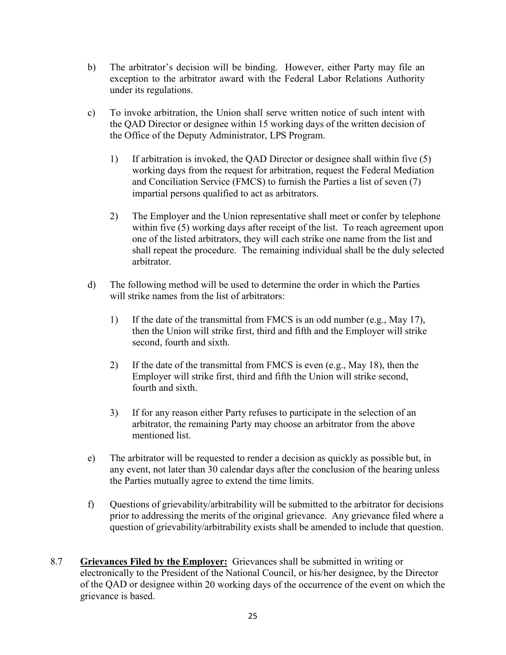- b) The arbitrator's decision will be binding. However, either Party may file an exception to the arbitrator award with the Federal Labor Relations Authority under its regulations.
- c) To invoke arbitration, the Union shall serve written notice of such intent with the QAD Director or designee within 15 working days of the written decision of the Office of the Deputy Administrator, LPS Program.
	- 1) If arbitration is invoked, the QAD Director or designee shall within five (5) working days from the request for arbitration, request the Federal Mediation and Conciliation Service (FMCS) to furnish the Parties a list of seven (7) impartial persons qualified to act as arbitrators.
	- 2) The Employer and the Union representative shall meet or confer by telephone within five (5) working days after receipt of the list. To reach agreement upon one of the listed arbitrators, they will each strike one name from the list and shall repeat the procedure. The remaining individual shall be the duly selected arbitrator.
- d) The following method will be used to determine the order in which the Parties will strike names from the list of arbitrators:
	- 1) If the date of the transmittal from FMCS is an odd number (e.g., May 17), then the Union will strike first, third and fifth and the Employer will strike second, fourth and sixth.
	- 2) If the date of the transmittal from FMCS is even (e.g., May 18), then the Employer will strike first, third and fifth the Union will strike second, fourth and sixth.
	- 3) If for any reason either Party refuses to participate in the selection of an arbitrator, the remaining Party may choose an arbitrator from the above mentioned list.
- e) The arbitrator will be requested to render a decision as quickly as possible but, in any event, not later than 30 calendar days after the conclusion of the hearing unless the Parties mutually agree to extend the time limits.
- f) Questions of grievability/arbitrability will be submitted to the arbitrator for decisions prior to addressing the merits of the original grievance. Any grievance filed where a question of grievability/arbitrability exists shall be amended to include that question.
- 8.7 **Grievances Filed by the Employer:** Grievances shall be submitted in writing or electronically to the President of the National Council, or his/her designee, by the Director of the QAD or designee within 20 working days of the occurrence of the event on which the grievance is based.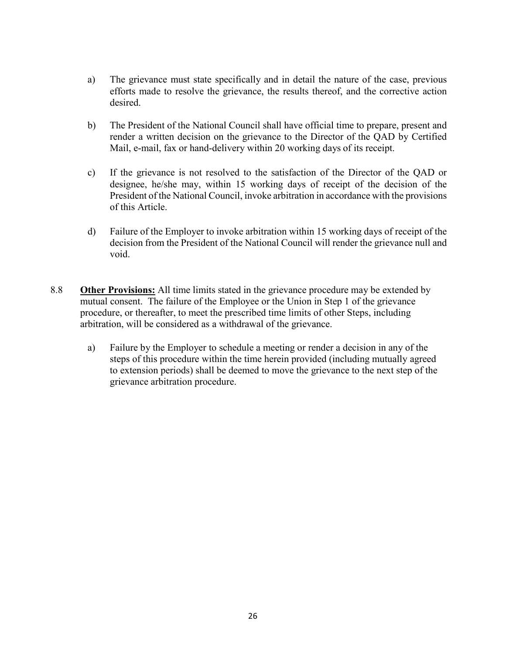- a) The grievance must state specifically and in detail the nature of the case, previous efforts made to resolve the grievance, the results thereof, and the corrective action desired.
- b) The President of the National Council shall have official time to prepare, present and render a written decision on the grievance to the Director of the QAD by Certified Mail, e-mail, fax or hand-delivery within 20 working days of its receipt.
- c) If the grievance is not resolved to the satisfaction of the Director of the QAD or designee, he/she may, within 15 working days of receipt of the decision of the President of the National Council, invoke arbitration in accordance with the provisions of this Article.
- d) Failure of the Employer to invoke arbitration within 15 working days of receipt of the decision from the President of the National Council will render the grievance null and void.
- 8.8 **Other Provisions:** All time limits stated in the grievance procedure may be extended by mutual consent. The failure of the Employee or the Union in Step 1 of the grievance procedure, or thereafter, to meet the prescribed time limits of other Steps, including arbitration, will be considered as a withdrawal of the grievance.
	- a) Failure by the Employer to schedule a meeting or render a decision in any of the steps of this procedure within the time herein provided (including mutually agreed to extension periods) shall be deemed to move the grievance to the next step of the grievance arbitration procedure.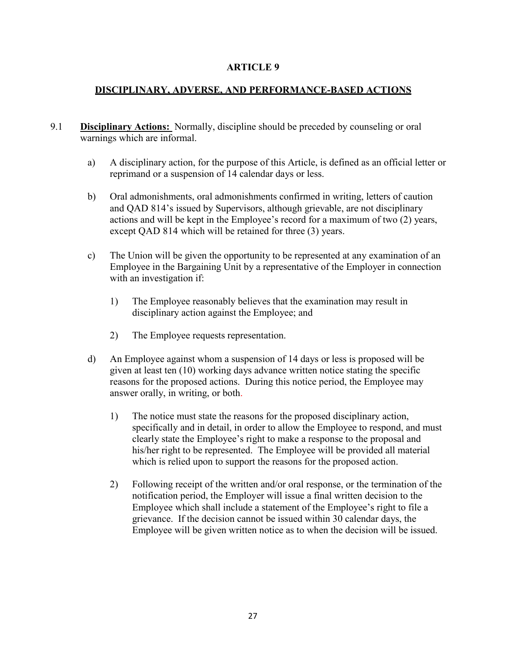#### **DISCIPLINARY, ADVERSE, AND PERFORMANCE-BASED ACTIONS**

- 9.1 **Disciplinary Actions:** Normally, discipline should be preceded by counseling or oral warnings which are informal.
	- a) A disciplinary action, for the purpose of this Article, is defined as an official letter or reprimand or a suspension of 14 calendar days or less.
	- b) Oral admonishments, oral admonishments confirmed in writing, letters of caution and QAD 814's issued by Supervisors, although grievable, are not disciplinary actions and will be kept in the Employee's record for a maximum of two (2) years, except QAD 814 which will be retained for three (3) years.
	- c) The Union will be given the opportunity to be represented at any examination of an Employee in the Bargaining Unit by a representative of the Employer in connection with an investigation if:
		- 1) The Employee reasonably believes that the examination may result in disciplinary action against the Employee; and
		- 2) The Employee requests representation.
	- d) An Employee against whom a suspension of 14 days or less is proposed will be given at least ten (10) working days advance written notice stating the specific reasons for the proposed actions. During this notice period, the Employee may answer orally, in writing, or both.
		- 1) The notice must state the reasons for the proposed disciplinary action, specifically and in detail, in order to allow the Employee to respond, and must clearly state the Employee's right to make a response to the proposal and his/her right to be represented. The Employee will be provided all material which is relied upon to support the reasons for the proposed action.
		- 2) Following receipt of the written and/or oral response, or the termination of the notification period, the Employer will issue a final written decision to the Employee which shall include a statement of the Employee's right to file a grievance. If the decision cannot be issued within 30 calendar days, the Employee will be given written notice as to when the decision will be issued.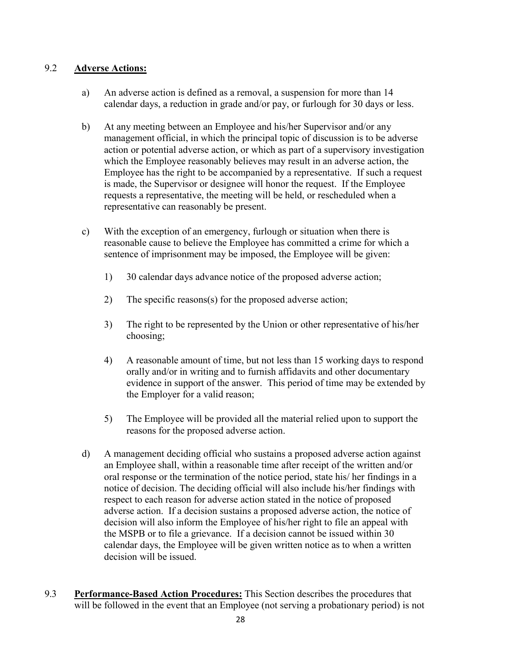#### 9.2 **Adverse Actions:**

- a) An adverse action is defined as a removal, a suspension for more than 14 calendar days, a reduction in grade and/or pay, or furlough for 30 days or less.
- b) At any meeting between an Employee and his/her Supervisor and/or any management official, in which the principal topic of discussion is to be adverse action or potential adverse action, or which as part of a supervisory investigation which the Employee reasonably believes may result in an adverse action, the Employee has the right to be accompanied by a representative. If such a request is made, the Supervisor or designee will honor the request. If the Employee requests a representative, the meeting will be held, or rescheduled when a representative can reasonably be present.
- c) With the exception of an emergency, furlough or situation when there is reasonable cause to believe the Employee has committed a crime for which a sentence of imprisonment may be imposed, the Employee will be given:
	- 1) 30 calendar days advance notice of the proposed adverse action;
	- 2) The specific reasons(s) for the proposed adverse action;
	- 3) The right to be represented by the Union or other representative of his/her choosing;
	- 4) A reasonable amount of time, but not less than 15 working days to respond orally and/or in writing and to furnish affidavits and other documentary evidence in support of the answer. This period of time may be extended by the Employer for a valid reason;
	- 5) The Employee will be provided all the material relied upon to support the reasons for the proposed adverse action.
- d) A management deciding official who sustains a proposed adverse action against an Employee shall, within a reasonable time after receipt of the written and/or oral response or the termination of the notice period, state his/ her findings in a notice of decision. The deciding official will also include his/her findings with respect to each reason for adverse action stated in the notice of proposed adverse action. If a decision sustains a proposed adverse action, the notice of decision will also inform the Employee of his/her right to file an appeal with the MSPB or to file a grievance. If a decision cannot be issued within 30 calendar days, the Employee will be given written notice as to when a written decision will be issued.
- 9.3 **Performance-Based Action Procedures:** This Section describes the procedures that will be followed in the event that an Employee (not serving a probationary period) is not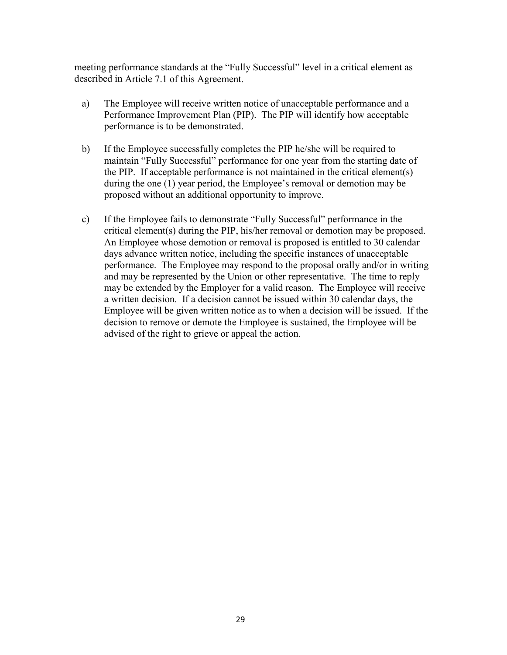meeting performance standards at the "Fully Successful" level in a critical element as described in Article 7.1 of this Agreement.

- a) The Employee will receive written notice of unacceptable performance and a Performance Improvement Plan (PIP). The PIP will identify how acceptable performance is to be demonstrated.
- b) If the Employee successfully completes the PIP he/she will be required to maintain "Fully Successful" performance for one year from the starting date of the PIP. If acceptable performance is not maintained in the critical element(s) during the one (1) year period, the Employee's removal or demotion may be proposed without an additional opportunity to improve.
- c) If the Employee fails to demonstrate "Fully Successful" performance in the critical element(s) during the PIP, his/her removal or demotion may be proposed. An Employee whose demotion or removal is proposed is entitled to 30 calendar days advance written notice, including the specific instances of unacceptable performance. The Employee may respond to the proposal orally and/or in writing and may be represented by the Union or other representative. The time to reply may be extended by the Employer for a valid reason. The Employee will receive a written decision. If a decision cannot be issued within 30 calendar days, the Employee will be given written notice as to when a decision will be issued. If the decision to remove or demote the Employee is sustained, the Employee will be advised of the right to grieve or appeal the action.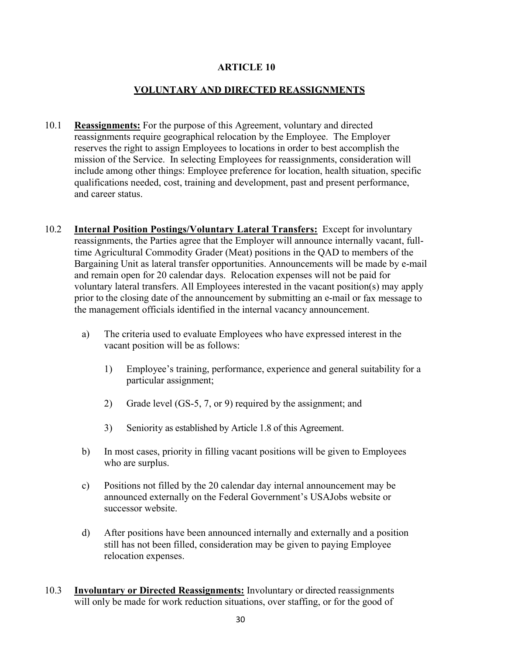#### **VOLUNTARY AND DIRECTED REASSIGNMENTS**

- 10.1 **Reassignments:** For the purpose of this Agreement, voluntary and directed reassignments require geographical relocation by the Employee. The Employer reserves the right to assign Employees to locations in order to best accomplish the mission of the Service. In selecting Employees for reassignments, consideration will include among other things: Employee preference for location, health situation, specific qualifications needed, cost, training and development, past and present performance, and career status.
- 10.2 **Internal Position Postings/Voluntary Lateral Transfers:** Except for involuntary reassignments, the Parties agree that the Employer will announce internally vacant, fulltime Agricultural Commodity Grader (Meat) positions in the QAD to members of the Bargaining Unit as lateral transfer opportunities. Announcements will be made by e-mail and remain open for 20 calendar days. Relocation expenses will not be paid for voluntary lateral transfers. All Employees interested in the vacant position(s) may apply prior to the closing date of the announcement by submitting an e-mail or fax message to the management officials identified in the internal vacancy announcement.
	- a) The criteria used to evaluate Employees who have expressed interest in the vacant position will be as follows:
		- 1) Employee's training, performance, experience and general suitability for a particular assignment;
		- 2) Grade level (GS-5, 7, or 9) required by the assignment; and
		- 3) Seniority as established by Article 1.8 of this Agreement.
	- b) In most cases, priority in filling vacant positions will be given to Employees who are surplus.
	- c) Positions not filled by the 20 calendar day internal announcement may be announced externally on the Federal Government's USAJobs website or successor website.
	- d) After positions have been announced internally and externally and a position still has not been filled, consideration may be given to paying Employee relocation expenses.
- 10.3 **Involuntary or Directed Reassignments:** Involuntary or directed reassignments will only be made for work reduction situations, over staffing, or for the good of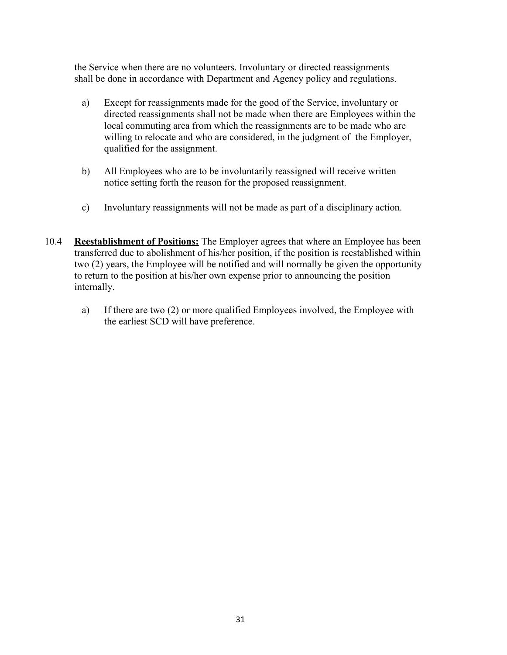the Service when there are no volunteers. Involuntary or directed reassignments shall be done in accordance with Department and Agency policy and regulations.

- a) Except for reassignments made for the good of the Service, involuntary or directed reassignments shall not be made when there are Employees within the local commuting area from which the reassignments are to be made who are willing to relocate and who are considered, in the judgment of the Employer, qualified for the assignment.
- b) All Employees who are to be involuntarily reassigned will receive written notice setting forth the reason for the proposed reassignment.
- c) Involuntary reassignments will not be made as part of a disciplinary action.
- 10.4 **Reestablishment of Positions:** The Employer agrees that where an Employee has been transferred due to abolishment of his/her position, if the position is reestablished within two (2) years, the Employee will be notified and will normally be given the opportunity to return to the position at his/her own expense prior to announcing the position internally.
	- a) If there are two (2) or more qualified Employees involved, the Employee with the earliest SCD will have preference.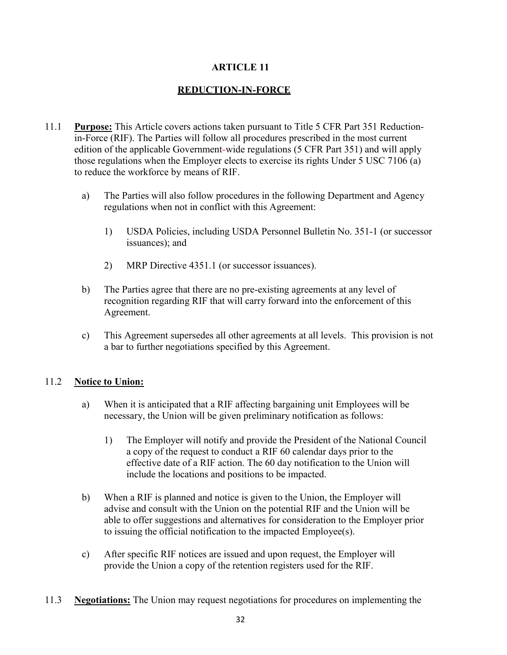#### **REDUCTION-IN-FORCE**

- 11.1 **Purpose:** This Article covers actions taken pursuant to Title 5 CFR Part 351 Reductionin-Force (RIF). The Parties will follow all procedures prescribed in the most current edition of the applicable Government-wide regulations (5 CFR Part 351) and will apply those regulations when the Employer elects to exercise its rights Under 5 USC 7106 (a) to reduce the workforce by means of RIF.
	- a) The Parties will also follow procedures in the following Department and Agency regulations when not in conflict with this Agreement:
		- 1) USDA Policies, including USDA Personnel Bulletin No. 351-1 (or successor issuances); and
		- 2) MRP Directive 4351.1 (or successor issuances).
	- b) The Parties agree that there are no pre-existing agreements at any level of recognition regarding RIF that will carry forward into the enforcement of this Agreement.
	- c) This Agreement supersedes all other agreements at all levels. This provision is not a bar to further negotiations specified by this Agreement.

#### 11.2 **Notice to Union:**

- a) When it is anticipated that a RIF affecting bargaining unit Employees will be necessary, the Union will be given preliminary notification as follows:
	- 1) The Employer will notify and provide the President of the National Council a copy of the request to conduct a RIF 60 calendar days prior to the effective date of a RIF action. The 60 day notification to the Union will include the locations and positions to be impacted.
- b) When a RIF is planned and notice is given to the Union, the Employer will advise and consult with the Union on the potential RIF and the Union will be able to offer suggestions and alternatives for consideration to the Employer prior to issuing the official notification to the impacted Employee(s).
- c) After specific RIF notices are issued and upon request, the Employer will provide the Union a copy of the retention registers used for the RIF.
- 11.3 **Negotiations:** The Union may request negotiations for procedures on implementing the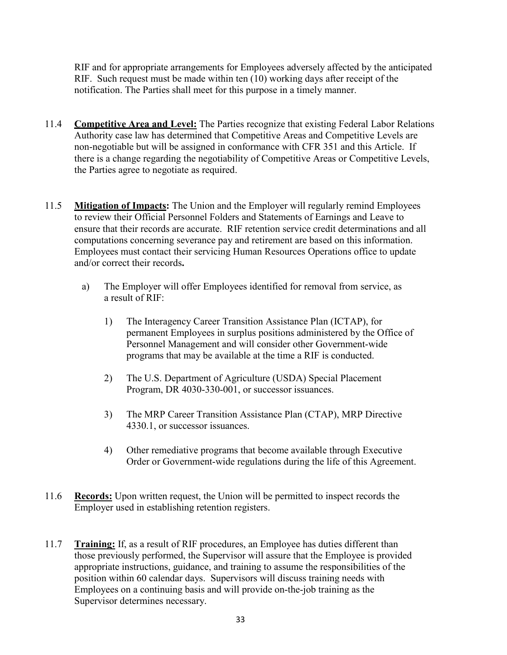RIF and for appropriate arrangements for Employees adversely affected by the anticipated RIF. Such request must be made within ten (10) working days after receipt of the notification. The Parties shall meet for this purpose in a timely manner.

- 11.4 **Competitive Area and Level:** The Parties recognize that existing Federal Labor Relations Authority case law has determined that Competitive Areas and Competitive Levels are non-negotiable but will be assigned in conformance with CFR 351 and this Article. If there is a change regarding the negotiability of Competitive Areas or Competitive Levels, the Parties agree to negotiate as required.
- 11.5 **Mitigation of Impacts:** The Union and the Employer will regularly remind Employees to review their Official Personnel Folders and Statements of Earnings and Leave to ensure that their records are accurate. RIF retention service credit determinations and all computations concerning severance pay and retirement are based on this information. Employees must contact their servicing Human Resources Operations office to update and/or correct their records**.** 
	- a) The Employer will offer Employees identified for removal from service, as a result of RIF:
		- 1) The Interagency Career Transition Assistance Plan (ICTAP), for permanent Employees in surplus positions administered by the Office of Personnel Management and will consider other Government-wide programs that may be available at the time a RIF is conducted.
		- 2) The U.S. Department of Agriculture (USDA) Special Placement Program, DR 4030-330-001, or successor issuances.
		- 3) The MRP Career Transition Assistance Plan (CTAP), MRP Directive 4330.1, or successor issuances.
		- 4) Other remediative programs that become available through Executive Order or Government-wide regulations during the life of this Agreement.
- 11.6 **Records:** Upon written request, the Union will be permitted to inspect records the Employer used in establishing retention registers.
- 11.7 **Training:** If, as a result of RIF procedures, an Employee has duties different than those previously performed, the Supervisor will assure that the Employee is provided appropriate instructions, guidance, and training to assume the responsibilities of the position within 60 calendar days. Supervisors will discuss training needs with Employees on a continuing basis and will provide on-the-job training as the Supervisor determines necessary.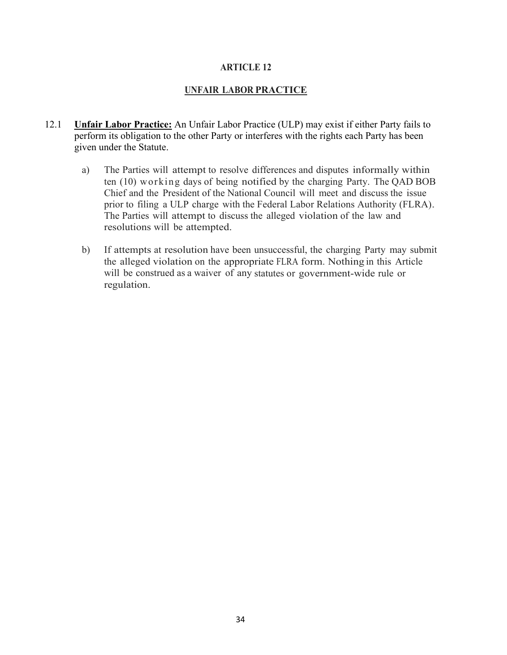#### **UNFAIR LABOR PRACTICE**

- 12.1 **Unfair Labor Practice:** An Unfair Labor Practice (ULP) may exist if either Party fails to perform its obligation to the other Party or interferes with the rights each Party has been given under the Statute.
	- a) The Parties will attempt to resolve differences and disputes informally within ten (10) working days of being notified by the charging Party. The QAD BOB Chief and the President of the National Council will meet and discuss the issue prior to filing a ULP charge with the Federal Labor Relations Authority (FLRA). The Parties will attempt to discuss the alleged violation of the law and resolutions will be attempted.
	- b) If attempts at resolution have been unsuccessful, the charging Party may submit the alleged violation on the appropriate FLRA form. Nothing in this Article will be construed as a waiver of any statutes or government-wide rule or regulation.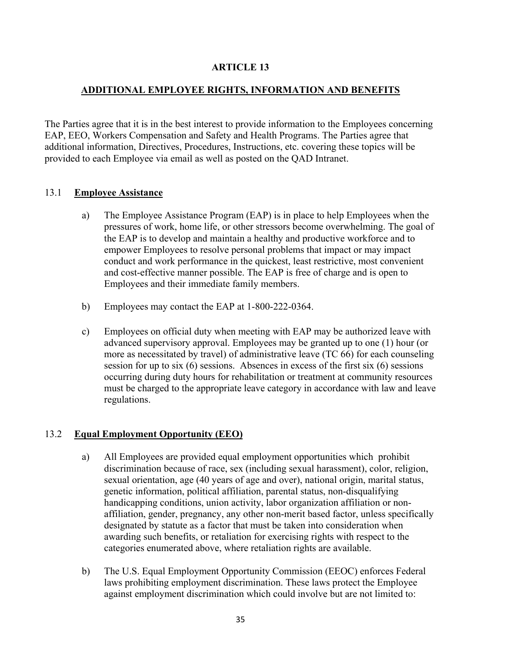#### **ADDITIONAL EMPLOYEE RIGHTS, INFORMATION AND BENEFITS**

The Parties agree that it is in the best interest to provide information to the Employees concerning EAP, EEO, Workers Compensation and Safety and Health Programs. The Parties agree that additional information, Directives, Procedures, Instructions, etc. covering these topics will be provided to each Employee via email as well as posted on the QAD Intranet.

#### 13.1 **Employee Assistance**

- a) The Employee Assistance Program (EAP) is in place to help Employees when the pressures of work, home life, or other stressors become overwhelming. The goal of the EAP is to develop and maintain a healthy and productive workforce and to empower Employees to resolve personal problems that impact or may impact conduct and work performance in the quickest, least restrictive, most convenient and cost-effective manner possible. The EAP is free of charge and is open to Employees and their immediate family members.
- b) Employees may contact the EAP at 1-800-222-0364.
- c) Employees on official duty when meeting with EAP may be authorized leave with advanced supervisory approval. Employees may be granted up to one (1) hour (or more as necessitated by travel) of administrative leave (TC 66) for each counseling session for up to six (6) sessions. Absences in excess of the first six (6) sessions occurring during duty hours for rehabilitation or treatment at community resources must be charged to the appropriate leave category in accordance with law and leave regulations.

#### 13.2 **Equal Employment Opportunity (EEO)**

- a) All Employees are provided equal employment opportunities which prohibit discrimination because of race, sex (including sexual harassment), color, religion, sexual orientation, age (40 years of age and over), national origin, marital status, genetic information, political affiliation, parental status, non-disqualifying handicapping conditions, union activity, labor organization affiliation or nonaffiliation, gender, pregnancy, any other non-merit based factor, unless specifically designated by statute as a factor that must be taken into consideration when awarding such benefits, or retaliation for exercising rights with respect to the categories enumerated above, where retaliation rights are available.
- b) The U.S. Equal Employment Opportunity Commission (EEOC) enforces Federal laws prohibiting employment discrimination. These laws protect the Employee against employment discrimination which could involve but are not limited to: